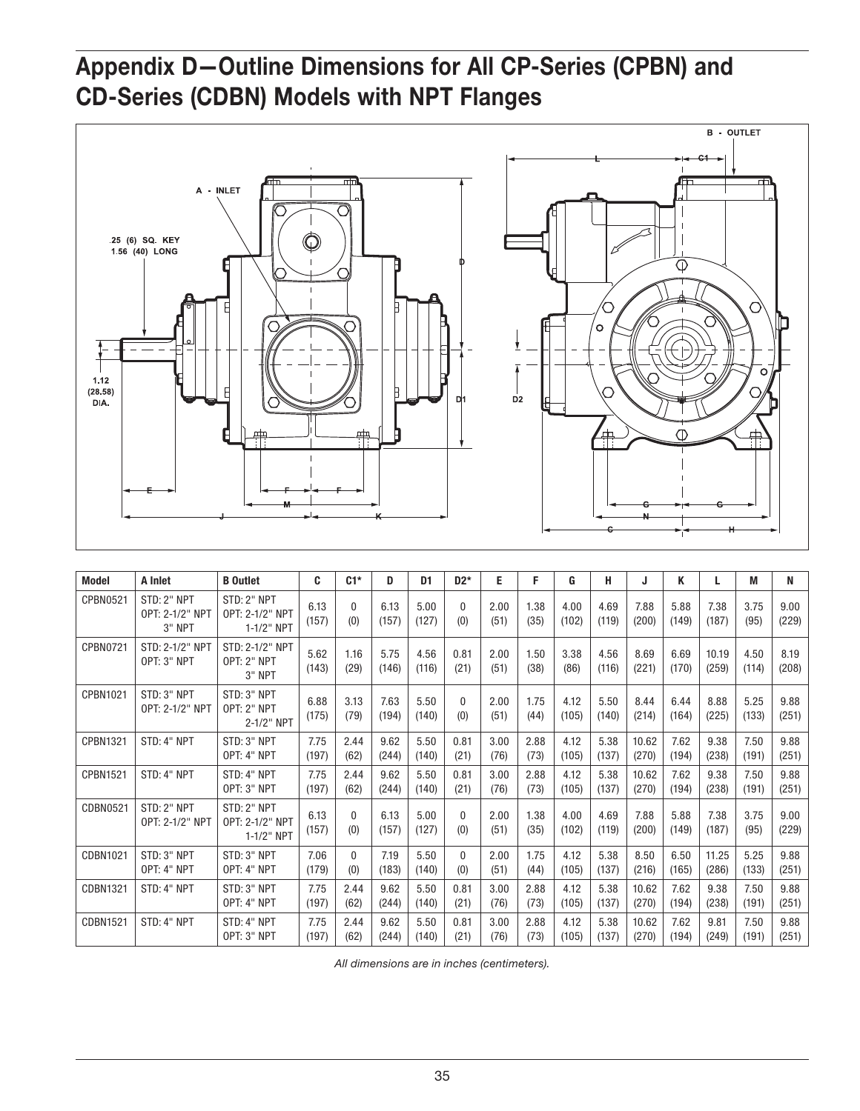## Appendix D—Outline Dimensions for All CP-Series (CPBN) and CD-Series (CDBN) Models with NPT Flanges



| <b>Model</b>    | A Inlet                                  | <b>B</b> Outlet                                   | C             | $C1*$               | D             | D1            | $D2*$           | Е            | F.           | G             | н             | J              | Κ             | L              | M             | N             |
|-----------------|------------------------------------------|---------------------------------------------------|---------------|---------------------|---------------|---------------|-----------------|--------------|--------------|---------------|---------------|----------------|---------------|----------------|---------------|---------------|
| CPBN0521        | STD: 2" NPT<br>OPT: 2-1/2" NPT<br>3" NPT | STD: 2" NPT<br>OPT: 2-1/2" NPT<br>1-1/2" NPT      | 6.13<br>(157) | $\Omega$<br>(0)     | 6.13<br>(157) | 5.00<br>(127) | $\Omega$<br>(0) | 2.00<br>(51) | 1.38<br>(35) | 4.00<br>(102) | 4.69<br>(119) | 7.88<br>(200)  | 5.88<br>(149) | 7.38<br>(187)  | 3.75<br>(95)  | 9.00<br>(229) |
| <b>CPBN0721</b> | STD: 2-1/2" NPT<br>OPT: 3" NPT           | STD: 2-1/2" NPT<br><b>OPT: 2" NPT</b><br>$3"$ NPT | 5.62<br>(143) | 1.16<br>(29)        | 5.75<br>(146) | 4.56<br>(116) | 0.81<br>(21)    | 2.00<br>(51) | 1.50<br>(38) | 3.38<br>(86)  | 4.56<br>(116) | 8.69<br>(221)  | 6.69<br>(170) | 10.19<br>(259) | 4.50<br>(114) | 8.19<br>(208) |
| CPBN1021        | STD: 3" NPT<br>OPT: 2-1/2" NPT           | STD: 3" NPT<br><b>OPT: 2" NPT</b><br>2-1/2" NPT   | 6.88<br>(175) | 3.13<br>(79)        | 7.63<br>(194) | 5.50<br>(140) | $\Omega$<br>(0) | 2.00<br>(51) | 1.75<br>(44) | 4.12<br>(105) | 5.50<br>(140) | 8.44<br>(214)  | 6.44<br>(164) | 8.88<br>(225)  | 5.25<br>(133) | 9.88<br>(251) |
| <b>CPBN1321</b> | STD: 4" NPT                              | STD: 3" NPT<br>OPT: 4" NPT                        | 7.75<br>(197) | 2.44<br>(62)        | 9.62<br>(244) | 5.50<br>(140) | 0.81<br>(21)    | 3.00<br>(76) | 2.88<br>(73) | 4.12<br>(105) | 5.38<br>(137) | 10.62<br>(270) | 7.62<br>(194) | 9.38<br>(238)  | 7.50<br>(191) | 9.88<br>(251) |
| <b>CPBN1521</b> | STD: 4" NPT                              | STD: 4" NPT<br>OPT: 3" NPT                        | 7.75<br>(197) | 2.44<br>(62)        | 9.62<br>(244) | 5.50<br>(140) | 0.81<br>(21)    | 3.00<br>(76) | 2.88<br>(73) | 4.12<br>(105) | 5.38<br>(137) | 10.62<br>(270) | 7.62<br>(194) | 9.38<br>(238)  | 7.50<br>(191) | 9.88<br>(251) |
| <b>CDBN0521</b> | STD: 2" NPT<br>OPT: 2-1/2" NPT           | STD: 2" NPT<br>OPT: 2-1/2" NPT<br>1-1/2" NPT      | 6.13<br>(157) | $\mathbf{0}$<br>(0) | 6.13<br>(157) | 5.00<br>(127) | $\Omega$<br>(0) | 2.00<br>(51) | 1.38<br>(35) | 4.00<br>(102) | 4.69<br>(119) | 7.88<br>(200)  | 5.88<br>(149) | 7.38<br>(187)  | 3.75<br>(95)  | 9.00<br>(229) |
| CDBN1021        | STD: 3" NPT<br>OPT: 4" NPT               | STD: 3" NPT<br>OPT: 4" NPT                        | 7.06<br>(179) | $\mathbf{0}$<br>(0) | 7.19<br>(183) | 5.50<br>(140) | $\Omega$<br>(0) | 2.00<br>(51) | 1.75<br>(44) | 4.12<br>(105) | 5.38<br>(137) | 8.50<br>(216)  | 6.50<br>(165) | 11.25<br>(286) | 5.25<br>(133) | 9.88<br>(251) |
| <b>CDBN1321</b> | STD: 4" NPT                              | STD: 3" NPT<br>OPT: 4" NPT                        | 7.75<br>(197) | 2.44<br>(62)        | 9.62<br>(244) | 5.50<br>(140) | 0.81<br>(21)    | 3.00<br>(76) | 2.88<br>(73) | 4.12<br>(105) | 5.38<br>(137) | 10.62<br>(270) | 7.62<br>(194) | 9.38<br>(238)  | 7.50<br>(191) | 9.88<br>(251) |
| <b>CDBN1521</b> | STD: 4" NPT                              | STD: 4" NPT<br>OPT: 3" NPT                        | 7.75<br>(197) | 2.44<br>(62)        | 9.62<br>(244) | 5.50<br>(140) | 0.81<br>(21)    | 3.00<br>(76) | 2.88<br>(73) | 4.12<br>(105) | 5.38<br>(137) | 10.62<br>(270) | 7.62<br>(194) | 9.81<br>(249)  | 7.50<br>(191) | 9.88<br>(251) |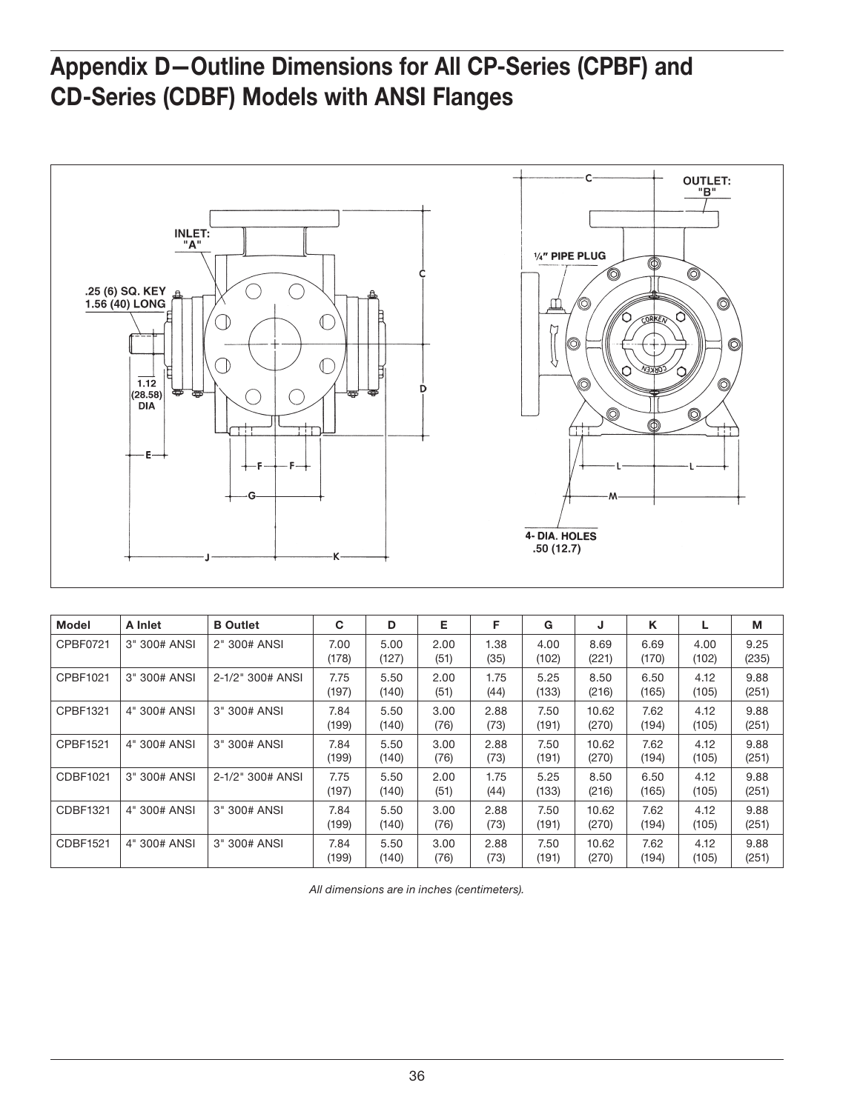## Appendix D—Outline Dimensions for All CP-Series (CPBF) and CD-Series (CDBF) Models with ANSI Flanges



| <b>Model</b> | A Inlet      | <b>B</b> Outlet  | C             | D             | Е            | F            | G             | J              | Κ             |               | М             |
|--------------|--------------|------------------|---------------|---------------|--------------|--------------|---------------|----------------|---------------|---------------|---------------|
| CPBF0721     | 3" 300# ANSI | 2" 300# ANSI     | 7.00<br>(178) | 5.00<br>(127) | 2.00<br>(51) | 1.38<br>(35) | 4.00<br>(102) | 8.69<br>(221)  | 6.69<br>(170) | 4.00<br>(102) | 9.25<br>(235) |
| CPBF1021     | 3" 300# ANSI | 2-1/2" 300# ANSI | 7.75<br>(197) | 5.50<br>(140) | 2.00<br>(51) | 1.75<br>(44) | 5.25<br>(133) | 8.50<br>(216)  | 6.50<br>(165) | 4.12<br>(105) | 9.88<br>(251) |
| CPBF1321     | 4" 300# ANSI | 3" 300# ANSI     | 7.84<br>(199) | 5.50<br>(140) | 3.00<br>(76) | 2.88<br>(73) | 7.50<br>(191) | 10.62<br>(270) | 7.62<br>(194) | 4.12<br>(105) | 9.88<br>(251) |
| CPBF1521     | 4" 300# ANSI | 3" 300# ANSI     | 7.84<br>(199) | 5.50<br>(140) | 3.00<br>(76) | 2.88<br>(73) | 7.50<br>(191) | 10.62<br>(270) | 7.62<br>(194) | 4.12<br>(105) | 9.88<br>(251) |
| CDBF1021     | 3" 300# ANSI | 2-1/2" 300# ANSI | 7.75<br>(197) | 5.50<br>(140) | 2.00<br>(51) | 1.75<br>(44) | 5.25<br>(133) | 8.50<br>(216)  | 6.50<br>(165) | 4.12<br>(105) | 9.88<br>(251) |
| CDBF1321     | 4" 300# ANSI | 3" 300# ANSI     | 7.84<br>(199) | 5.50<br>(140) | 3.00<br>(76) | 2.88<br>(73) | 7.50<br>(191) | 10.62<br>(270) | 7.62<br>(194) | 4.12<br>(105) | 9.88<br>(251) |
| CDBF1521     | 4" 300# ANSI | 3" 300# ANSI     | 7.84<br>(199) | 5.50<br>(140) | 3.00<br>(76) | 2.88<br>(73) | 7.50<br>(191) | 10.62<br>(270) | 7.62<br>(194) | 4.12<br>(105) | 9.88<br>(251) |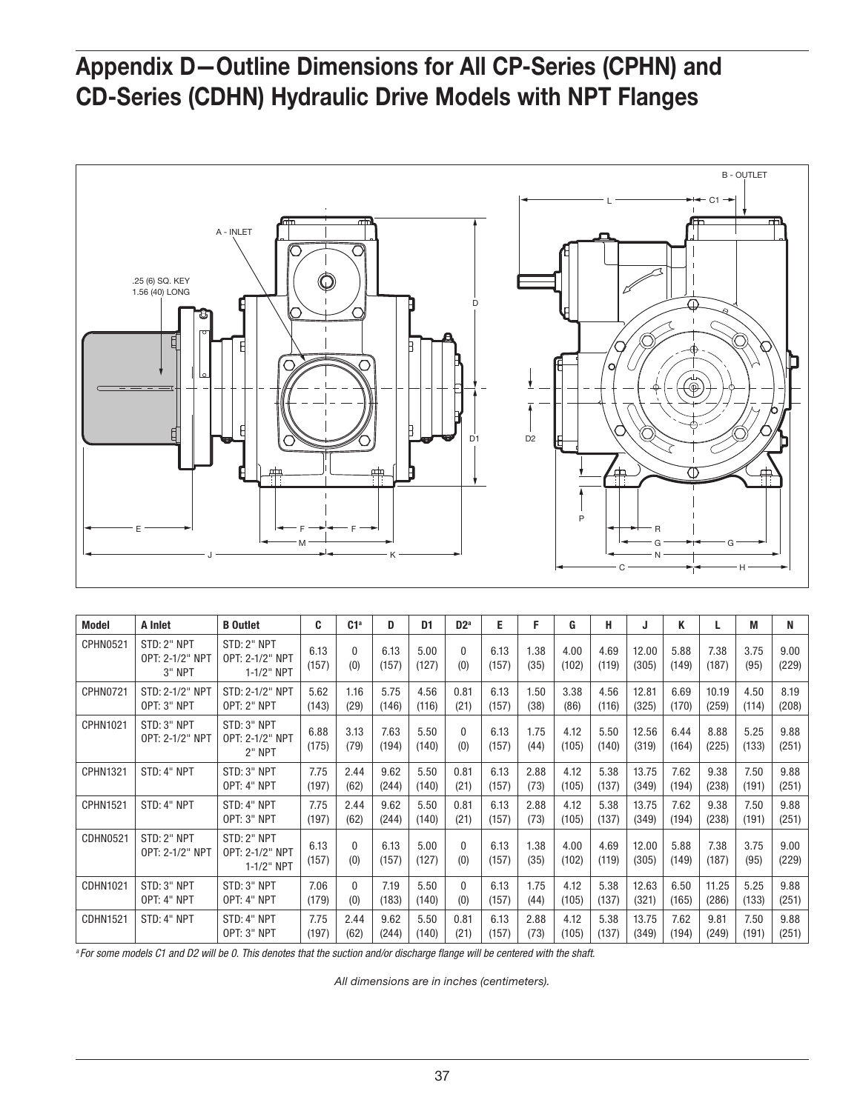## Appendix D—Outline Dimensions for All CP-Series (CPHN) and CD-Series (CDHN) Hydraulic Drive Models with NPT Flanges



| <b>Model</b>    | A Inlet                                    | <b>B</b> Outlet                                  | C             | C1 <sup>a</sup>     | D             | D1            | D2 <sup>a</sup> | Е             | F.           | G             | н             | J              | Κ             |                | M             | N             |
|-----------------|--------------------------------------------|--------------------------------------------------|---------------|---------------------|---------------|---------------|-----------------|---------------|--------------|---------------|---------------|----------------|---------------|----------------|---------------|---------------|
| <b>CPHN0521</b> | STD: 2" NPT<br>OPT: 2-1/2" NPT<br>$3"$ NPT | STD: 2" NPT<br>OPT: 2-1/2" NPT<br>1-1/2" NPT     | 6.13<br>(157) | $\mathbf{0}$<br>(0) | 6.13<br>(157) | 5.00<br>(127) | $\Omega$<br>(0) | 6.13<br>(157) | 1.38<br>(35) | 4.00<br>(102) | 4.69<br>(119) | 12.00<br>(305) | 5.88<br>(149) | 7.38<br>(187)  | 3.75<br>(95)  | 9.00<br>(229) |
| <b>CPHN0721</b> | STD: 2-1/2" NPT<br>OPT: 3" NPT             | STD: 2-1/2" NPT<br><b>OPT: 2" NPT</b>            | 5.62<br>(143) | 1.16<br>(29)        | 5.75<br>(146) | 4.56<br>(116) | 0.81<br>(21)    | 6.13<br>(157) | 1.50<br>(38) | 3.38<br>(86)  | 4.56<br>(116) | 12.81<br>(325) | 6.69<br>(170) | 10.19<br>(259) | 4.50<br>(114) | 8.19<br>(208) |
| CPHN1021        | STD: 3" NPT<br>OPT: 2-1/2" NPT             | STD: 3" NPT<br>OPT: 2-1/2" NPT<br><b>2" NPT</b>  | 6.88<br>(175) | 3.13<br>(79)        | 7.63<br>(194) | 5.50<br>(140) | $\Omega$<br>(0) | 6.13<br>(157) | 1.75<br>(44) | 4.12<br>(105) | 5.50<br>(140) | 12.56<br>(319) | 6.44<br>(164) | 8.88<br>(225)  | 5.25<br>(133) | 9.88<br>(251) |
| CPHN1321        | STD: 4" NPT                                | STD: 3" NPT<br>OPT: 4" NPT                       | 7.75<br>(197) | 2.44<br>(62)        | 9.62<br>(244) | 5.50<br>(140) | 0.81<br>(21)    | 6.13<br>(157) | 2.88<br>(73) | 4.12<br>(105) | 5.38<br>(137) | 13.75<br>(349) | 7.62<br>(194) | 9.38<br>(238)  | 7.50<br>(191) | 9.88<br>(251) |
| <b>CPHN1521</b> | STD: 4" NPT                                | STD: 4" NPT<br>OPT: 3" NPT                       | 7.75<br>(197) | 2.44<br>(62)        | 9.62<br>(244) | 5.50<br>(140) | 0.81<br>(21)    | 6.13<br>(157) | 2.88<br>(73) | 4.12<br>(105) | 5.38<br>(137) | 13.75<br>(349) | 7.62<br>(194) | 9.38<br>(238)  | 7.50<br>(191) | 9.88<br>(251) |
| <b>CDHN0521</b> | STD: 2" NPT<br>OPT: 2-1/2" NPT             | STD: 2" NPT<br>OPT: 2-1/2" NPT<br>$1 - 1/2"$ NPT | 6.13<br>(157) | $\mathbf{0}$<br>(0) | 6.13<br>(157) | 5.00<br>(127) | $\Omega$<br>(0) | 6.13<br>(157) | 1.38<br>(35) | 4.00<br>(102) | 4.69<br>(119) | 12.00<br>(305) | 5.88<br>(149) | 7.38<br>(187)  | 3.75<br>(95)  | 9.00<br>(229) |
| <b>CDHN1021</b> | STD: 3" NPT<br>OPT: 4" NPT                 | STD: 3" NPT<br>OPT: 4" NPT                       | 7.06<br>(179) | $\mathbf{0}$<br>(0) | 7.19<br>(183) | 5.50<br>(140) | $\Omega$<br>(0) | 6.13<br>(157) | 1.75<br>(44) | 4.12<br>(105) | 5.38<br>(137) | 12.63<br>(321) | 6.50<br>(165) | 11.25<br>(286) | 5.25<br>(133) | 9.88<br>(251) |
| <b>CDHN1521</b> | STD: 4" NPT                                | STD: 4" NPT<br>OPT: 3" NPT                       | 7.75<br>(197) | 2.44<br>(62)        | 9.62<br>(244) | 5.50<br>(140) | 0.81<br>(21)    | 6.13<br>(157) | 2.88<br>(73) | 4.12<br>(105) | 5.38<br>(137) | 13.75<br>(349) | 7.62<br>(194) | 9.81<br>(249)  | 7.50<br>(191) | 9.88<br>(251) |

*<sup>a</sup> For some models C1 and D2 will be 0. This denotes that the suction and/or discharge flange will be centered with the shaft.*